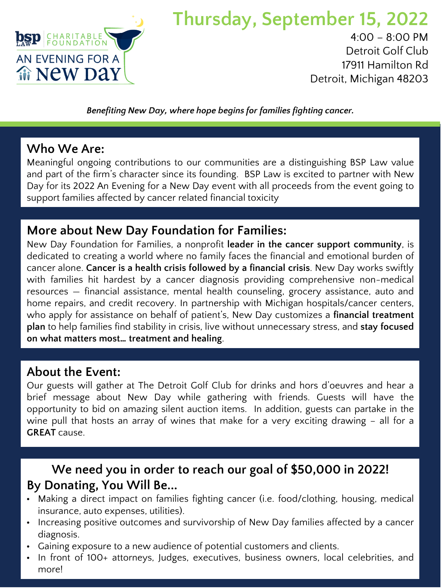

# **Thursday, September 15, 2022**

4:00 – 8:00 PM Detroit Golf Club 17911 Hamilton Rd Detroit, Michigan 48203

*Benefiting New Day, where hope begins for families fighting cancer.* 

### **Who We Are:**

Meaningful ongoing contributions to our communities are a distinguishing BSP Law value and part of the firm's character since its founding. BSP Law is excited to partner with New Day for its 2022 An Evening for a New Day event with all proceeds from the event going to support families affected by cancer related financial toxicity

### **More about New Day Foundation for Families:**

New Day Foundation for Families, a nonprofit **leader in the cancer support community**, is dedicated to creating a world where no family faces the financial and emotional burden of cancer alone. **Cancer is a health crisis followed by a financial crisis**. New Day works swiftly with families hit hardest by a cancer diagnosis providing comprehensive non-medical resources — financial assistance, mental health counseling, grocery assistance, auto and home repairs, and credit recovery. In partnership with Michigan hospitals/cancer centers, who apply for assistance on behalf of patient's, New Day customizes a **financial treatment plan** to help families find stability in crisis, live without unnecessary stress, and **stay focused on what matters most… treatment and healing**.

### **About the Event:**

Our guests will gather at The Detroit Golf Club for drinks and hors d'oeuvres and hear a brief message about New Day while gathering with friends. Guests will have the opportunity to bid on amazing silent auction items. In addition, guests can partake in the wine pull that hosts an array of wines that make for a very exciting drawing – all for a **GREAT** cause.

### **We need you in order to reach our goal of \$50,000 in 2022! By Donating, You Will Be...**

- Making a direct impact on families fighting cancer (i.e. food/clothing, housing, medical insurance, auto expenses, utilities).
- Increasing positive outcomes and survivorship of New Day families affected by a cancer diagnosis.
- Gaining exposure to a new audience of potential customers and clients.
- In front of 100+ attorneys, Judges, executives, business owners, local celebrities, and more!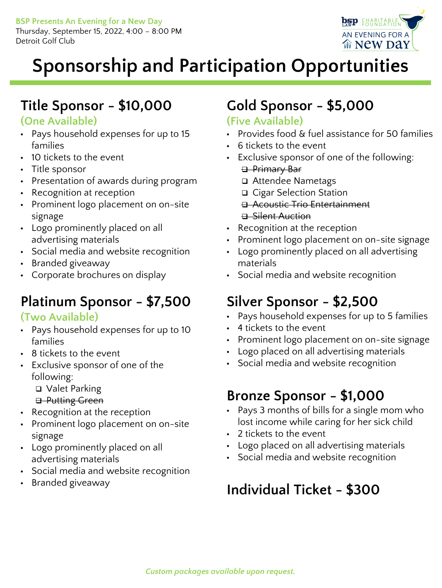Thursday, September 15, 2022, 4:00 – 8:00 PM Detroit Golf Club



# **Sponsorship and Participation Opportunities**

# **Title Sponsor - \$10,000**

### **(One Available)**

- Pays household expenses for up to 15 families
- 10 tickets to the event
- Title sponsor
- Presentation of awards during program
- Recognition at reception
- Prominent logo placement on on-site signage
- Logo prominently placed on all advertising materials
- Social media and website recognition
- Branded giveaway
- Corporate brochures on display

### **Platinum Sponsor - \$7,500**

#### **(Two Available)**

- Pays household expenses for up to 10 families
- 8 tickets to the event
- Exclusive sponsor of one of the following:
	- Valet Parking
	- **B** Putting Green
- Recognition at the reception
- Prominent logo placement on on-site signage
- Logo prominently placed on all advertising materials
- Social media and website recognition
- Branded giveaway

# **Gold Sponsor - \$5,000**

### **(Five Available)**

- Provides food & fuel assistance for 50 families
- 6 tickets to the event
- Exclusive sponsor of one of the following: **B**-Primary Bar
	- Attendee Nametags
	- □ Cigar Selection Station
	- **B** Acoustic Trio Entertainment
	- **B** Silent Auction
- Recognition at the reception
- Prominent logo placement on on-site signage
- Logo prominently placed on all advertising materials
- Social media and website recognition

# **Silver Sponsor - \$2,500**

- Pays household expenses for up to 5 families
- 4 tickets to the event
- Prominent logo placement on on-site signage
- Logo placed on all advertising materials
- Social media and website recognition

### **Bronze Sponsor - \$1,000**

- Pays 3 months of bills for a single mom who lost income while caring for her sick child
- 2 tickets to the event
- Logo placed on all advertising materials
- Social media and website recognition

# **Individual Ticket - \$300**